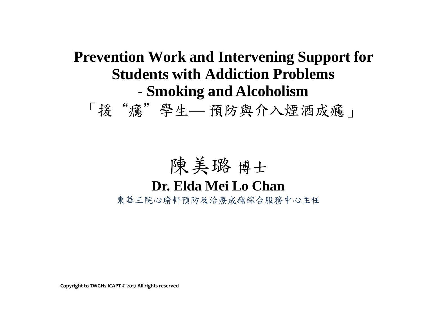### **Prevention Work and Intervening Support for Students with Addiction Problems - Smoking and Alcoholism**

「援"癮"學生**—** 預防與介入煙酒成癮」

### 陳美璐 博士

#### **Dr. Elda Mei Lo Chan**

東華三院心瑜軒預防及治療成癮綜合服務中心主任

**Copyright to TWGHs ICAPT © 2017 All rights reserved**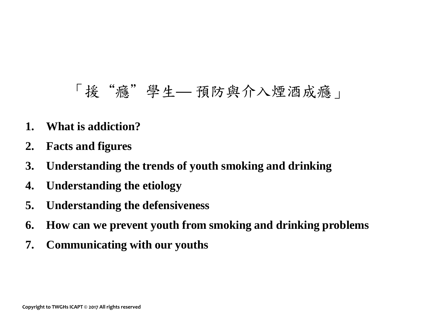### 「援"癮"學生**—** 預防與介入煙酒成癮」

- **1. What is addiction?**
- **2. Facts and figures**
- **3. Understanding the trends of youth smoking and drinking**
- **4. Understanding the etiology**
- **5. Understanding the defensiveness**
- **6. How can we prevent youth from smoking and drinking problems**
- **7. Communicating with our youths**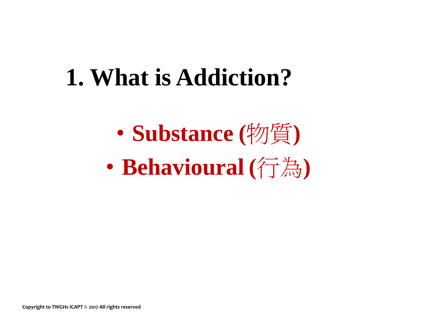## **1. What is Addiction?**

• **Substance (**物質**)** • **Behavioural (**行為**)**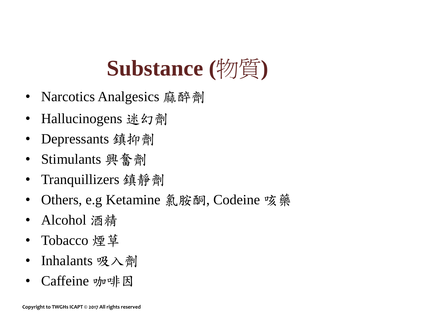## **Substance (**物質**)**

- Narcotics Analgesics 麻醉劑
- Hallucinogens 迷幻劑
- Depressants 鎮抑劑
- Stimulants 興奮劑
- Tranquillizers 鎮靜劑
- Others, e.g Ketamine 氯胺酮, Codeine 咳藥
- Alcohol 酒精
- Tobacco 煙草
- Inhalants 吸入劑
- Caffeine 咖啡因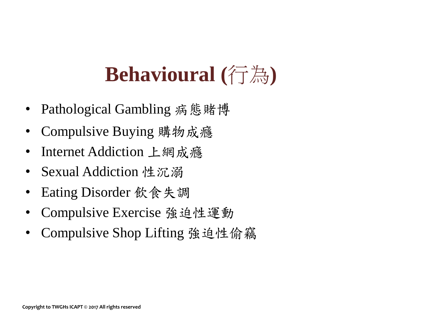## **Behavioural (**行為**)**

- Pathological Gambling 病態賭博
- Compulsive Buying 購物成癮
- Internet Addiction 上網成癮
- Sexual Addiction 性沉溺
- Eating Disorder 飲食失調
- Compulsive Exercise 強迫性運動
- Compulsive Shop Lifting 強迫性偷竊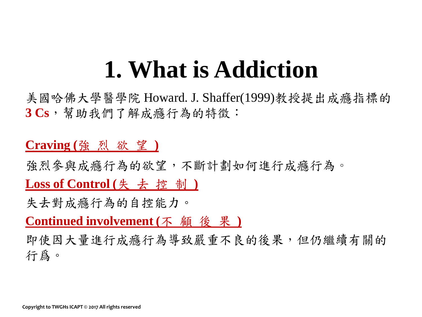## **1. What is Addiction**

美國哈佛大學醫學院 Howard. J. Shaffer(1999)教授提出成癮指標的 **3 Cs**,幫助我們了解成癮行為的特徵:

#### **Craving (**強 烈 欲 望 **)**

強烈參與成癮行為的欲望,不斷計劃如何進行成癮行為。

**Loss of Control (**失 去 控 制 **)**

失去對成癮行為的自控能力。

**Continued involvement (**不 顧 後 果 **)**

即使因大量進行成癮行為導致嚴重不良的後果,但仍繼續有關的 行爲。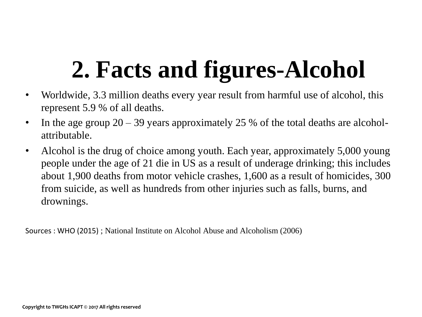- Worldwide, 3.3 million deaths every year result from harmful use of alcohol, this represent 5.9 % of all deaths.
- In the age group  $20 39$  years approximately 25 % of the total deaths are alcoholattributable.
- Alcohol is the drug of choice among youth. Each year, approximately 5,000 young people under the age of 21 die in US as a result of underage drinking; this includes about 1,900 deaths from motor vehicle crashes, 1,600 as a result of homicides, 300 from suicide, as well as hundreds from other injuries such as falls, burns, and drownings.

Sources : WHO (2015) ; National Institute on Alcohol Abuse and Alcoholism (2006)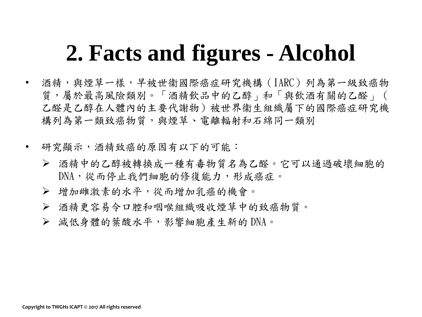- 酒精,與煙草一樣,早被世衞國際癌症研究機構(IARC)列為第一級致癌物 質,屬於最高風險類別。「酒精飲品中的乙醇」和「與飲酒有關的乙醛」( 乙醛是乙醇在人體內的主要代謝物)被世界衞生組織屬下的國際癌症研究機 構列為第一類致癌物質,與煙草、電離輻射和石綿同一類別
- 研究顯示,酒精致癌的原因有以下的可能:
	- 酒精中的乙醇被轉換成一種有毒物質名為乙醛。它可以通過破壞細胞的 DNA,從而停止我們細胞的修復能力,形成癌症。
	- 增加雌激素的水平,從而增加乳癌的機會。
	- 酒精更容易令口腔和咽喉組織吸收煙草中的致癌物質。
	- 減低身體的葉酸水平,影響細胞產生新的 DNA。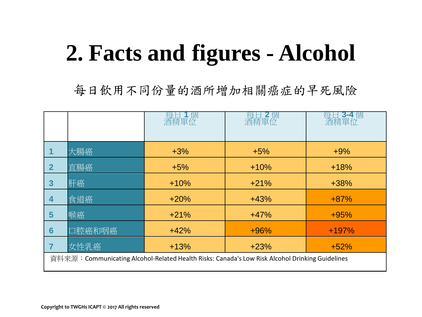每日飲用不同份量的酒所增加相關癌症的早死風險

|                                                                                                |        |        | 酒精軍位   | 酒精單位    |
|------------------------------------------------------------------------------------------------|--------|--------|--------|---------|
|                                                                                                |        |        |        |         |
|                                                                                                | 大腸癌    | $+3%$  | $+5%$  | $+9%$   |
| $\overline{2}$                                                                                 | 直腸癌    | $+5%$  | $+10%$ | $+18%$  |
| $\boldsymbol{3}$                                                                               | 肝癌     | $+10%$ | $+21%$ | $+38%$  |
| 4                                                                                              | 食道癌    | $+20%$ | $+43%$ | $+87%$  |
| 5                                                                                              | 喉癌     | $+21%$ | $+47%$ | $+95%$  |
| $6\phantom{1}6$                                                                                | 口腔癌和咽癌 | $+42%$ | $+96%$ | $+197%$ |
|                                                                                                | 女性乳癌   | $+13%$ | $+23%$ | $+52%$  |
| 資料來源:Communicating Alcohol-Related Health Risks: Canada's Low Risk Alcohol Drinking Guidelines |        |        |        |         |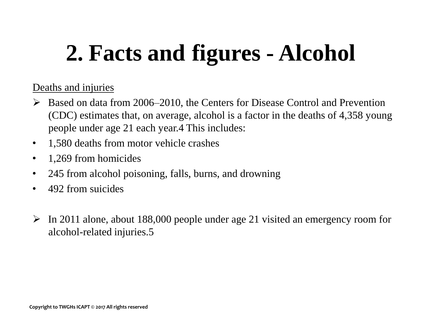#### Deaths and injuries

- Based on data from 2006–2010, the Centers for Disease Control and Prevention (CDC) estimates that, on average, alcohol is a factor in the deaths of 4,358 young people under age 21 each year.4 This includes:
- 1,580 deaths from motor vehicle crashes
- 1,269 from homicides
- 245 from alcohol poisoning, falls, burns, and drowning
- 492 from suicides
- $\triangleright$  In 2011 alone, about 188,000 people under age 21 visited an emergency room for alcohol-related injuries.5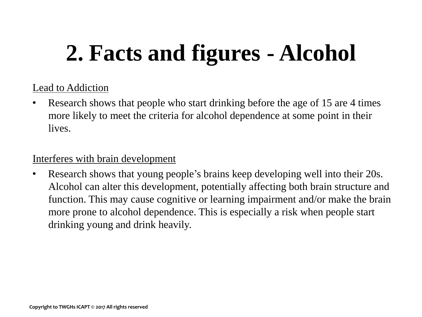#### Lead to Addiction

• Research shows that people who start drinking before the age of 15 are 4 times more likely to meet the criteria for alcohol dependence at some point in their lives.

#### Interferes with brain development

• Research shows that young people's brains keep developing well into their 20s. Alcohol can alter this development, potentially affecting both brain structure and function. This may cause cognitive or learning impairment and/or make the brain more prone to alcohol dependence. This is especially a risk when people start drinking young and drink heavily.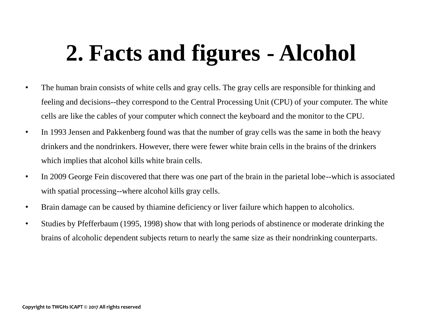- The human brain consists of white cells and gray cells. The gray cells are responsible for thinking and feeling and decisions--they correspond to the Central Processing Unit (CPU) of your computer. The white cells are like the cables of your computer which connect the keyboard and the monitor to the CPU.
- In 1993 Jensen and Pakkenberg found was that the number of gray cells was the same in both the heavy drinkers and the nondrinkers. However, there were fewer white brain cells in the brains of the drinkers which implies that alcohol kills white brain cells.
- In 2009 George Fein discovered that there was one part of the brain in the parietal lobe--which is associated with spatial processing--where alcohol kills gray cells.
- Brain damage can be caused by thiamine deficiency or liver failure which happen to alcoholics.
- Studies by Pfefferbaum (1995, 1998) show that with long periods of abstinence or moderate drinking the brains of alcoholic dependent subjects return to nearly the same size as their nondrinking counterparts.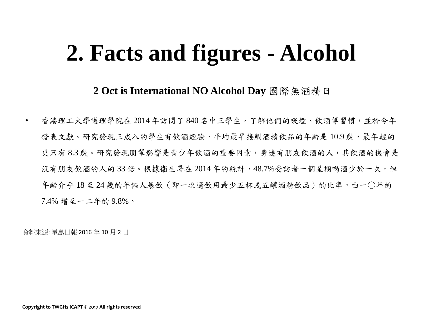**2 Oct is International NO Alcohol Day** 國際無酒精日

• 香港理工大學護理學院在 2014 年訪問了 840 名中三學生,了解他們的吸煙、飲酒等習慣,並於今年 發表文獻。研究發現三成八的學生有飲酒經驗,平均最早接觸酒精飲品的年齡是10.9歲,最年輕的 更只有 8.3 歲。研究發現朋輩影響是青少年飲酒的重要因素,身邊有朋友飲酒的人,其飲酒的機會是 沒有朋友飲酒的人的33倍。根據衞生署在2014年的統計,48.7%受訪者一個星期喝酒少於一次,但 年齡介乎18至24歲的年輕人暴飲(即一次過飲用最少五杯或五罐酒精飲品)的比率,由一〇年的 7.4% 增至一二年的 9.8%。

資料來源: 星島日報 2016 年 10 月 2 日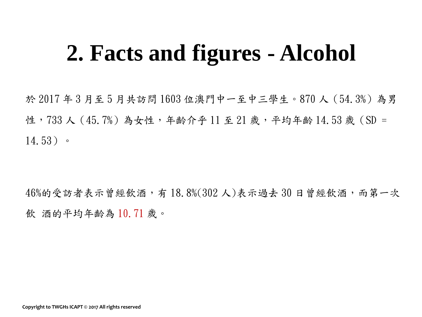於 2017 年 3 月至 5 月共訪問 1603 位澳門中一至中三學生。870 人(54.3%)為男 性,733 人 (45.7%) 為女性,年齡介乎 11 至 21 歲,平均年齡 14.53 歲 (SD = 14.53)。

46%的受訪者表示曾經飲酒,有 18.8%(302 人)表示過去 30 日曾經飲酒,而第一次 飲 酒的平均年齡為 10.71 歲。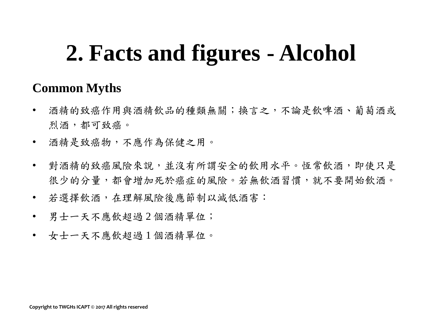#### **Common Myths**

- 酒精的致癌作用與酒精飲品的種類無關;換言之,不論是飲啤酒、葡萄酒或 烈酒,都可致癌。
- 酒精是致癌物,不應作為保健之用。
- 對酒精的致癌風險來說,並沒有所謂安全的飲用水平。恆常飲酒,即使只是 很少的分量,都會增加死於癌症的風險。若無飲酒習慣,就不要開始飲酒。
- 若選擇飲酒,在理解風險後應節制以減低酒害:
- 男士一天不應飲超過2個酒精單位;
- 女士一天不應飲超過 1 個酒精單位。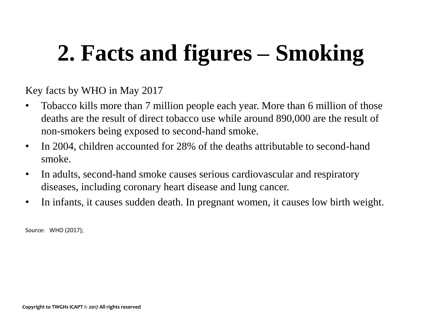# **2. Facts and figures – Smoking**

Key facts by WHO in May 2017

- Tobacco kills more than 7 million people each year. More than 6 million of those deaths are the result of direct tobacco use while around 890,000 are the result of non-smokers being exposed to second-hand smoke.
- In 2004, children accounted for 28% of the deaths attributable to second-hand smoke.
- In adults, second-hand smoke causes serious cardiovascular and respiratory diseases, including coronary heart disease and lung cancer.
- In infants, it causes sudden death. In pregnant women, it causes low birth weight.

Source: WHO (2017);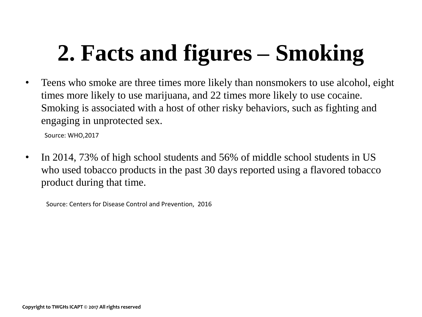# **2. Facts and figures – Smoking**

• Teens who smoke are three times more likely than nonsmokers to use alcohol, eight times more likely to use marijuana, and 22 times more likely to use cocaine. Smoking is associated with a host of other risky behaviors, such as fighting and engaging in unprotected sex.

Source: WHO,2017

• In 2014, 73% of high school students and 56% of middle school students in US who used tobacco products in the past 30 days reported using a flavored tobacco product during that time.

Source: Centers for Disease Control and Prevention, 2016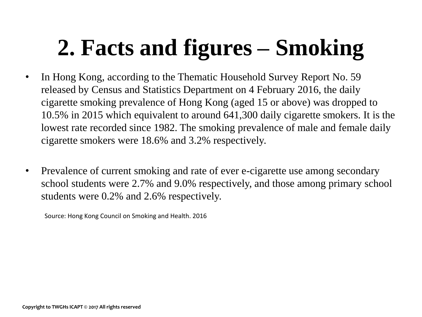# **2. Facts and figures – Smoking**

- In Hong Kong, according to the Thematic Household Survey Report No. 59 released by Census and Statistics Department on 4 February 2016, the daily cigarette smoking prevalence of Hong Kong (aged 15 or above) was dropped to 10.5% in 2015 which equivalent to around 641,300 daily cigarette smokers. It is the lowest rate recorded since 1982. The smoking prevalence of male and female daily cigarette smokers were 18.6% and 3.2% respectively.
- Prevalence of current smoking and rate of ever e-cigarette use among secondary school students were 2.7% and 9.0% respectively, and those among primary school students were 0.2% and 2.6% respectively.

Source: Hong Kong Council on Smoking and Health. 2016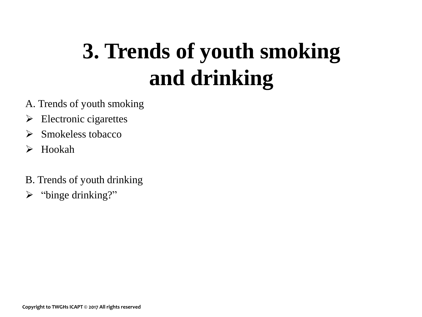## **3. Trends of youth smoking and drinking**

- A. Trends of youth smoking
- $\triangleright$  Electronic cigarettes
- $\triangleright$  Smokeless tobacco
- $\triangleright$  Hookah
- B. Trends of youth drinking
- > "binge drinking?"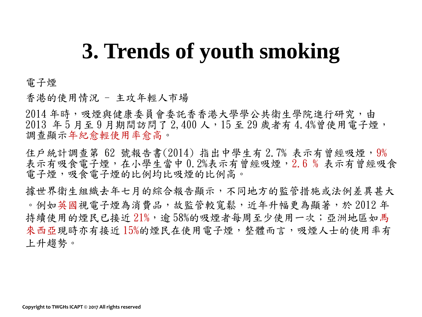#### 電子煙

香港的使用情況 - 主攻年輕人市場

2014 年時,吸煙與健康委員會委託香香港大學學公共衛生學院進行研究,由 2013 年 5 月至 9 月期間訪問了 2,400 人,15 至 29 歲者有 4.4%曾使用電子煙, 調查顯示年紀愈輕使用率愈高。

住戶統計調查第 62 號報告書(2014) 指出中學生有 2.7% 表示有曾經吸煙, 9% 表示有吸食電子煙,在小學生當中 0.2%表示有曾經吸煙, 2.6 % 表示有曾經吸食 電子煙,吸食電子煙的比例性的比例高。

據世界衛生組織去年七月的綜合報告顯示,不同地方的監管措施或法例差異甚大 。例如英國視電子煙為消費品,故監管較寬鬆,近年升幅更為顯著,於 2012 年 持續使用的煙民已接近 21%,逾 58%的吸煙者每周至少使用一次;亞洲地區如馬 來西亞現時亦有接近15%的煙民在使用電子煙,整體而言,吸煙人士的使用率有 上升趨勢。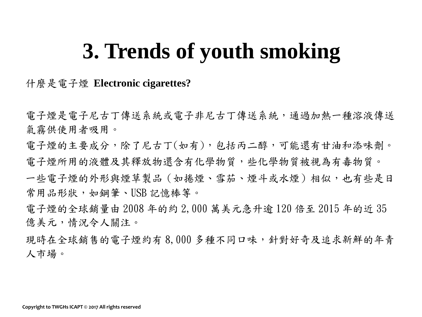什麼是電子煙 **Electronic cigarettes?**

電子煙是電子尼古丁傳送系統,通過加熱一種溶液傳送 氣霧供使用者吸用。

電子煙的主要成分,除了尼古丁(如有),包括丙二醇,可能還有甘油和添味劑。

電子煙所用的液體及其釋放物還含有化學物質,些化學物質被視為有毒物質。

一些電子煙的外形與煙草製品(如捲煙、雪茄、煙斗或水煙)相似,也有些是日 常用品形狀,如鋼筆、USB 記憶棒等。

電子煙的全球銷量由 2008 年的約 2,000 萬美元急升逾 120 倍至 2015 年的近 35 億美元,情況令人關注。

現時在全球銷售的電子煙約有 8,000 多種不同口味,針對好奇及追求新鮮的年青 人市場。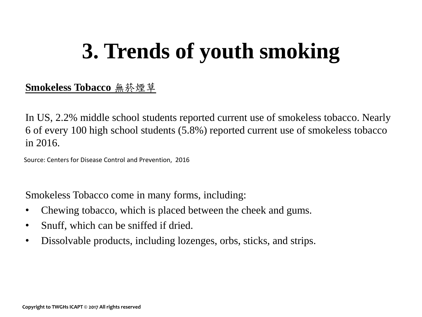#### **Smokeless Tobacco** 無菸煙草

In US, 2.2% middle school students reported current use of smokeless tobacco. Nearly 6 of every 100 high school students (5.8%) reported current use of smokeless tobacco in 2016.

Source: Centers for Disease Control and Prevention, 2016

Smokeless Tobacco come in many forms, including:

- Chewing tobacco, which is placed between the cheek and gums.
- Snuff, which can be sniffed if dried.
- Dissolvable products, including lozenges, orbs, sticks, and strips.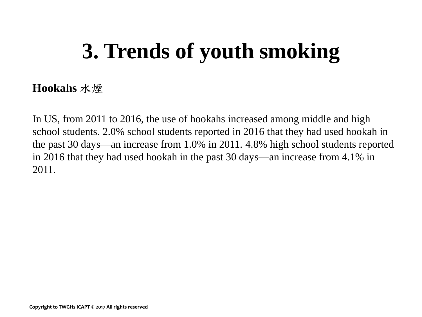#### **Hookahs** 水煙

In US, from 2011 to 2016, the use of hookahs increased among middle and high school students. 2.0% school students reported in 2016 that they had used hookah in the past 30 days—an increase from 1.0% in 2011. 4.8% high school students reported in 2016 that they had used hookah in the past 30 days—an increase from 4.1% in 2011.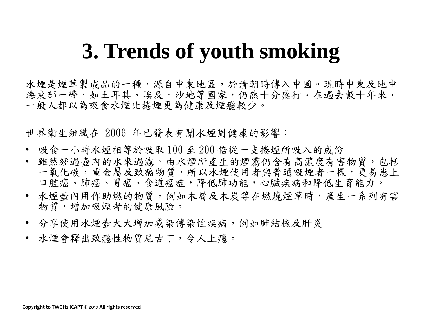水煙是煙草製成品的一種,源自中東地區,於清朝時傳入中國。現時中東及地中 海東部一帶,如土耳其、埃及,沙地等國家,仍然十分盛行。在過去數十年來, 一般人都以為吸食水煙比捲煙更為健康及煙癮較少。

世界衛生組織在 2006 年已發表有關水煙對健康的影響:

- 吸食一小時水煙相等於吸取 100 至 200 倍從一支捲煙所吸入的成份
- 雖然經過壺內的水來過濾,由水煙所產生的煙霧仍含有高濃度有害物質,包括 一氧化碳,重金屬及致癌物質,所以水煙使用者與普通吸煙者一樣,更易患上 口腔癌、肺癌、胃癌、食道癌症,降低肺功能,心臟疾病和降低生育能力。
- 水煙壺內用作助燃的物質,例如木屑及木炭等在燃燒煙草時,產生一系列有害 物質,增加吸煙者的健康風險。
- 分享使用水煙壺大大增加感染傳染性疾病,例如肺結核及肝炎
- 水煙會釋出致癮性物質尼古丁,令人上癮。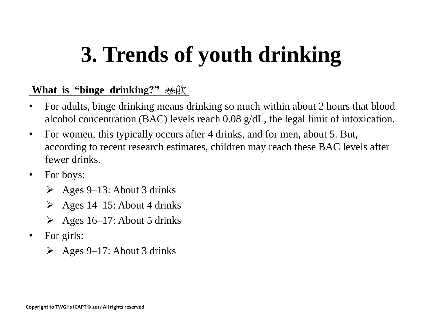## **3. Trends of youth drinking**

#### **What is "binge drinking?"** 暴飲

- For adults, binge drinking means drinking so much within about 2 hours that blood alcohol concentration (BAC) levels reach 0.08 g/dL, the legal limit of intoxication.
- For women, this typically occurs after 4 drinks, and for men, about 5. But, according to recent research estimates, children may reach these BAC levels after fewer drinks.
- For boys:
	- $\geq$  Ages 9–13: About 3 drinks
	- $\geq$  Ages 14–15: About 4 drinks
	- $\triangleright$  Ages 16–17: About 5 drinks
- For girls:
	- $\geq$  Ages 9–17: About 3 drinks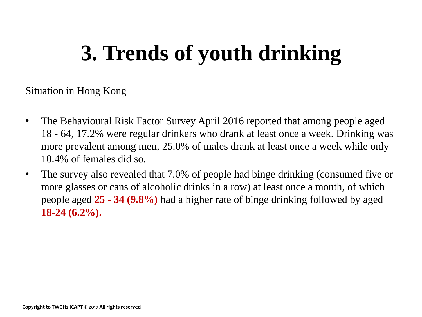## **3. Trends of youth drinking**

#### Situation in Hong Kong

- The Behavioural Risk Factor Survey April 2016 reported that among people aged 18 - 64, 17.2% were regular drinkers who drank at least once a week. Drinking was more prevalent among men, 25.0% of males drank at least once a week while only 10.4% of females did so.
- The survey also revealed that 7.0% of people had binge drinking (consumed five or more glasses or cans of alcoholic drinks in a row) at least once a month, of which people aged **25 - 34 (9.8%)** had a higher rate of binge drinking followed by aged **18-24 (6.2%).**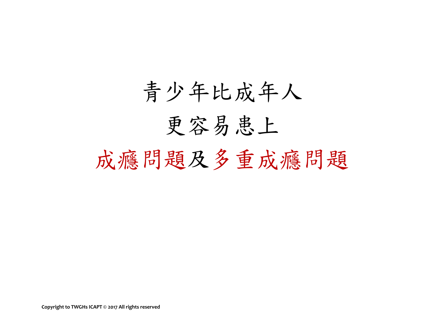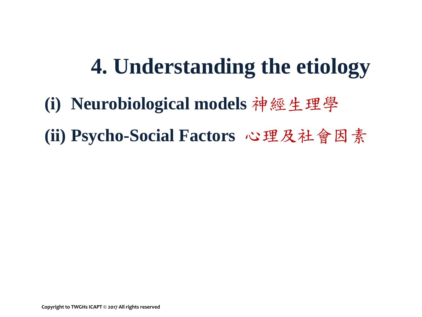## **4. Understanding the etiology**

- **(i) Neurobiological models** 神經生理學
- **(ii) Psycho-Social Factors** 心理及社會因素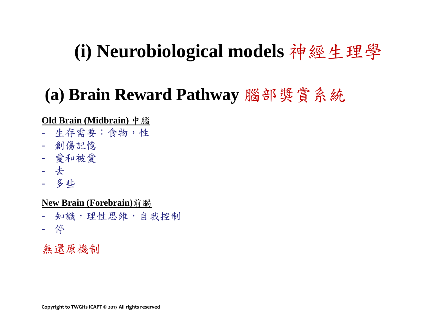### **(i) Neurobiological models** 神經生理學

### **(a) Brain Reward Pathway** 腦部獎賞系統

#### **Old Brain (Midbrain)** 中腦

- 生存需要:食物,性
- 創傷記憶
- 愛和被愛
- 去
- 多些

**New Brain (Forebrain)**前腦

- 知識,理性思維,自我控制
- 停

無還原機制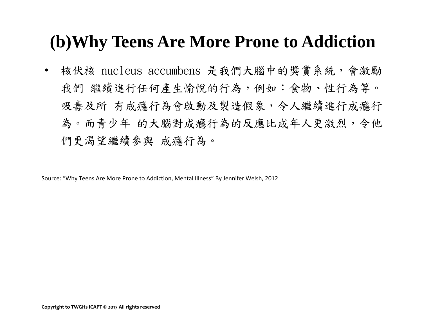### **(b)Why Teens Are More Prone to Addiction**

核伏核 nucleus accumbens 是我們大腦中的獎賞系統,會激勵 我們 繼續進行任何產生愉悅的行為,例如:食物、性行為等。 吸毒及所 有成癮行為會啟動及製造假象,令人繼續進行成癮行 為。而青少年 的大腦對成癮行為的反應比成年人更激烈,令他 們更渴望繼續參與 成癮行為。

Source: "Why Teens Are More Prone to Addiction, Mental Illness" By Jennifer Welsh, 2012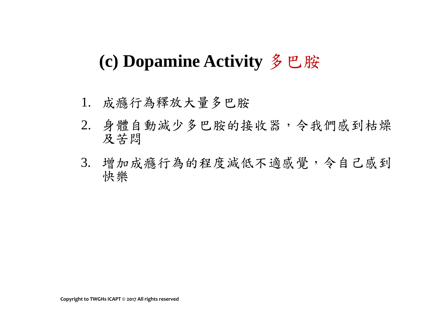### **(c) Dopamine Activity** 多巴胺

- 1. 成癮行為釋放大量多巴胺
- 2. 身體自動減少多巴胺的接收器,令我們感到枯燥 及苦悶
- 3. 增加成癮行為的程度減低不適感覺,令自己感到 快樂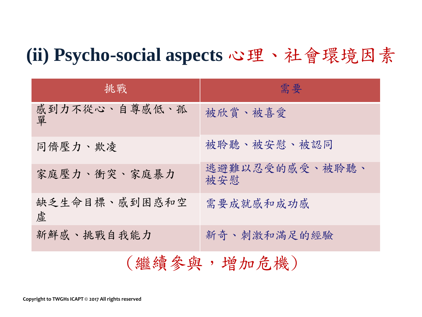### **(ii) Psycho-social aspects** 心理、社會環境因素

| 挑戰                 | 需要                    |  |  |
|--------------------|-----------------------|--|--|
| 感到力不從心、自尊感低、孤<br>單 | 被欣賞、被喜愛               |  |  |
| 同儕壓力、欺凌            | 被聆聽、被安慰、被認同           |  |  |
| 家庭壓力、衝突、家庭暴力       | 逃避難以忍受的感受、被聆聽、<br>被安慰 |  |  |
| 缺乏生命目標、感到困惑和空<br>虛 | 需要成就感和成功感             |  |  |
| 新鮮感、挑戰自我能力         | 新奇、刺激和滿足的經驗           |  |  |
| (繼續參與,增加危機)        |                       |  |  |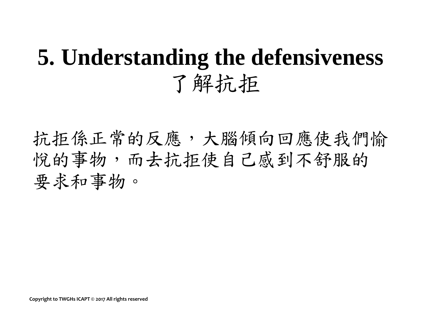## **5. Understanding the defensiveness** 了解抗拒

抗拒係正常的反應,大腦傾向回應使我們愉 悦的事物,而去抗拒使自己感到不舒服的 要求和事物。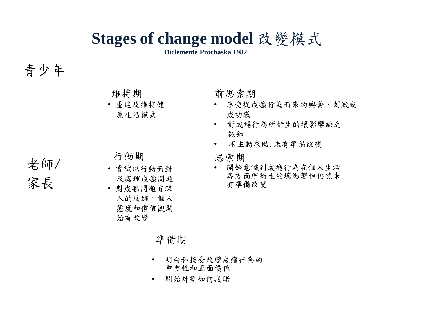### **Stages of change model** 改變模式

**Diclemente Prochaska 1982**

#### 青少年

老師/

家長

維持期

• 重建及維持健 康生活模式

行動期

- 嘗試以行動面對 及處理成癮問題
- 對成癮問題有深 入的反醒,個人 態度和價值觀開 始有改變

前思索期

- 享受從成癮行為而來的興奮、刺激或 成功感
- 對成癮行為所衍生的壞影響缺乏 認知
- 不主動求助,未有準備改變

思索期

• 開始意識到成癮行為在個人生活 各方面所衍生的壞影響但仍然未 有準備改變

#### 準備期

- 明白和接受改變成癮行為的 重要性和正面價值
- 開始計劃如何戒賭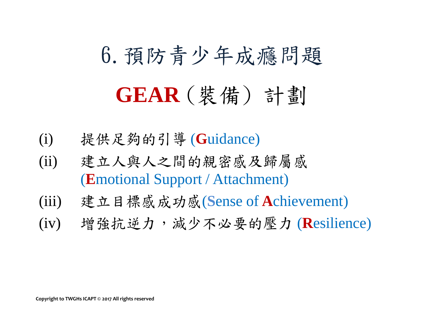# 6.預防青少年成癮問題 **GEAR** (裝備) 計劃

- (i) 提供足夠的引導 (**G**uidance)
- (ii) 建立人與人之間的親密感及歸屬感 (**E**motional Support / Attachment)
- (iii) 建立目標感成功感(**S**ense of **A**chievement)
- (iv) 增強抗逆力,減少不必要的壓力 (**R**esilience)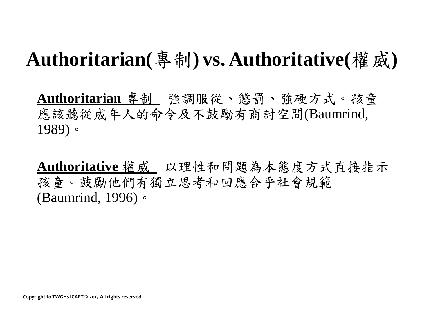### **Authoritarian(**專制**) vs. Authoritative(**權威**)**

**Authoritarian** 專制 強調服從、懲罰、強硬方式。孩童 應該聽從成年人的命令及不鼓勵有商討空間(Baumrind, 1989)。

**Authoritative** 權威 以理性和問題為本態度方式直接指示 孩童。鼓勵他們有獨立思考和回應合乎社會規範 (Baumrind, 1996)。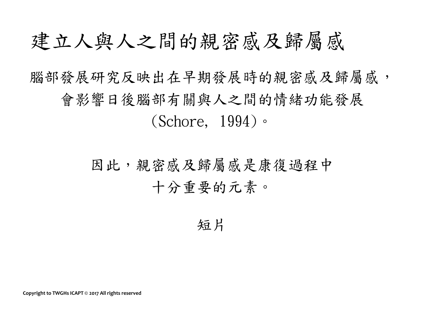### 建立人與人之間的親密感及歸屬感

### 腦部發展研究反映出在早期發展時的親密感及歸屬感, 會影響日後腦部有關與人之間的情緒功能發展 (Schore, 1994)。

### 因此,親密感及歸屬感是康復過程中 十分重要的元素。

#### 短片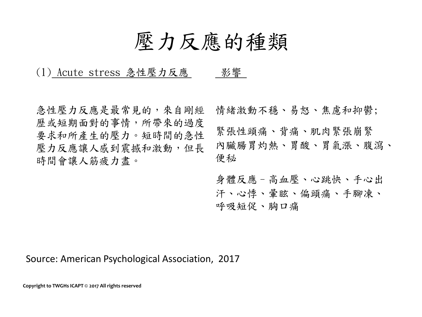### 壓力反應的種類

#### (1) Acute stress 急性壓力反應 影響

急性壓力反應是最常見的,來自剛經 歷或短期面對的事情,所帶來的過度 要求和所產生的壓力。短時間的急性 壓力反應讓人感到震撼和激動,但長 時間會讓人筋疲力盡。 情緒激動不穩、易怒、焦慮和抑鬱; 緊張性頭痛、背痛、肌肉緊張崩緊 內臟腸胃灼熱、胃酸、胃氣漲、腹瀉、 便秘

> 身體反應–高血壓、心跳快、手心出 汗、心悸、暈眩、偏頭痛、手腳凍、 呼吸短促、胸口痛

#### Source: American Psychological Association, 2017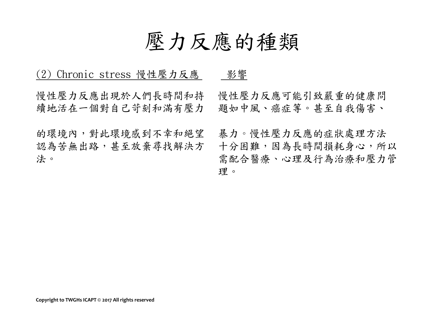### 壓力反應的種類

| (2) Chronic stress 慢性壓力反應                  | 影響                                                               |
|--------------------------------------------|------------------------------------------------------------------|
| 慢性壓力反應出現於人們長時間和持<br>續地活在一個對自己苛刻和滿有壓力       | 慢性壓力反應可能引致嚴重的健康問<br>題如中風、癌症等。甚至自我傷害、                             |
| 的環境內,對此環境感到不幸和絕望<br>認為苦無出路,甚至放棄尋找解決方<br>法。 | 暴力。慢性壓力反應的症狀處理方法<br>十分困難,因為長時間損耗身心,所以<br>需配合醫療、心理及行為治療和壓力管<br>理。 |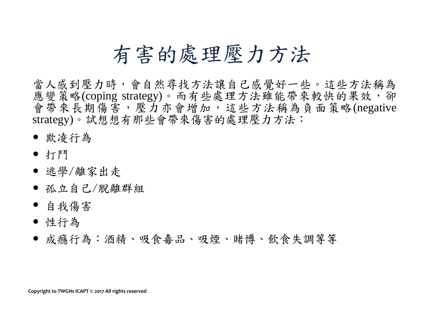### 有害的處理壓力方法

當人感到壓力時,會自然尋找方法讓自己感覺好一些。這些方法稱為 應變策略(coping strategy)。而有些處理方法雖能帶來較快的果效,卻 會帶來長期傷害,壓力亦會增加,這些方法稱為負面策略(negative strategy)。試想想有那些會帶來傷害的處理壓力方法:

- 欺凌行為
- 打鬥
- 逃學/離家出走
- 孤立自己/脫離群組
- 自我傷害
- 性行為
- 成癮行為:酒精、吸食毒品、吸煙、賭博、飲食失調等等

**Copyright to TWGHs ICAPT © 2017 All rights reserved**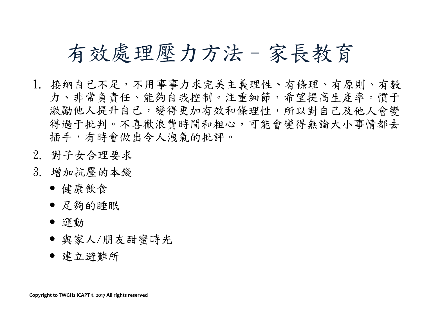### 有效處理壓力方法–家長教育

- 1. 接納自己不足,不用事事力求完美主義理性、有條理、有原則、有毅 力、非常負責任、能夠自我控制。注重細節,希望提高生產率。慣于 激勵他人提升自己,變得更加有效和條理性,所以對自己及他人會變 得過于批判。不喜歡浪費時間和粗心,可能會變得無論大小事情都去 插手,有時會做出令人洩氣的批評。
- 2. 對子女合理要求
- 3. 增加抗壓的本錢
	- 健康飲食
	- 足夠的睡眠
	- 運動
	- 與家人/朋友甜蜜時光
	- 建立避難所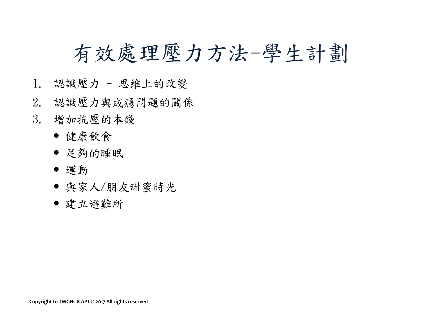### 有效處理壓力方法-學生計劃

- 1. 認識壓力 思維上的改變
- 2. 認識壓力與成癮問題的關係
- 3. 增加抗壓的本錢
	- 健康飲食
	- 足夠的睡眠
	- 運動
	- 與家人/朋友甜蜜時光
	- 建立避難所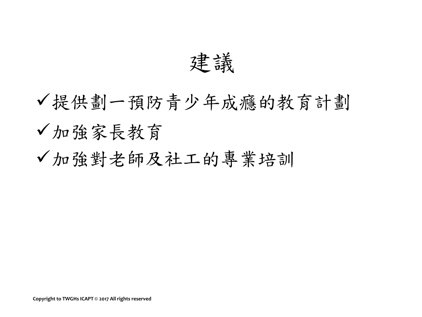建議

提供劃一預防青少年成癮的教育計劃 加強家長教育 加強對老師及社工的專業培訓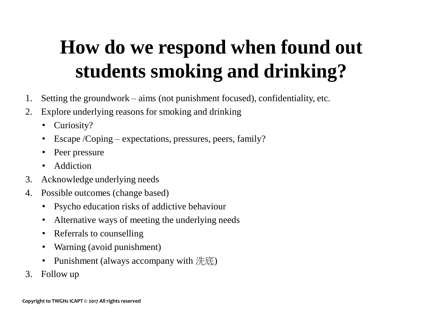## **How do we respond when found out students smoking and drinking?**

- 1. Setting the groundwork aims (not punishment focused), confidentiality, etc.
- 2. Explore underlying reasons for smoking and drinking
	- Curiosity?
	- Escape / Coping expectations, pressures, peers, family?
	- Peer pressure
	- Addiction
- 3. Acknowledge underlying needs
- 4. Possible outcomes (change based)
	- Psycho education risks of addictive behaviour
	- Alternative ways of meeting the underlying needs
	- Referrals to counselling
	- Warning (avoid punishment)
	- Punishment (always accompany with 洗底)
- 3. Follow up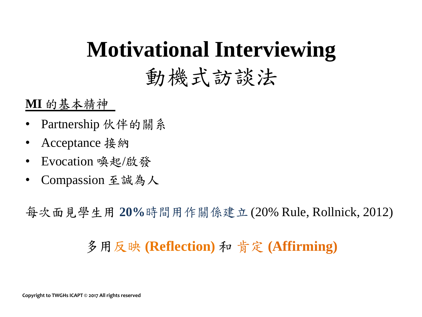# **Motivational Interviewing**

### 動機式訪談法

#### **MI** 的基本精神

- Partnership 伙伴的關系
- Acceptance 接納
- Evocation 喚起/啟發
- Compassion 至誠為人

每次面見學生用 **20%**時間用作關係建立 (20% Rule, Rollnick, 2012)

### 多用反映 **(Reflection)** 和 肯定 **(Affirming)**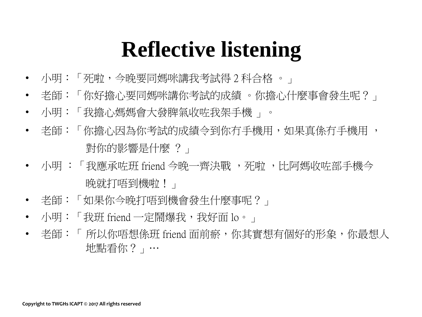## **Reflective listening**

- 小明:「死啦,今晚要同媽咪講我考試得 2 科合格 。」
- 老師:「你好擔心要同媽咪講你考試的成績 。你擔心什麼事會發生呢?」
- 小明:「我擔心媽媽會大發脾氣收咗我架手機 」。
- 老師:「你擔心因為你考試的成績令到你冇手機用,如果真係冇手機用 , 對你的影響是什麼 ?」
- 小明 : 「我應承咗班 friend 今晚一齊決戰 ,死啦 ,比阿媽收咗部手機今 」 |晩就打唔到|機啦!」
- 老師:「如果你今晚打唔到機會發生什麼事呢?」
- 小明:「我班 friend 一定鬧爆我,我好面 lo。」
- 老師:「 所以你唔想係班 friend 面前瘀,你其實想有個好的形象,你最想人 地點看你?」…